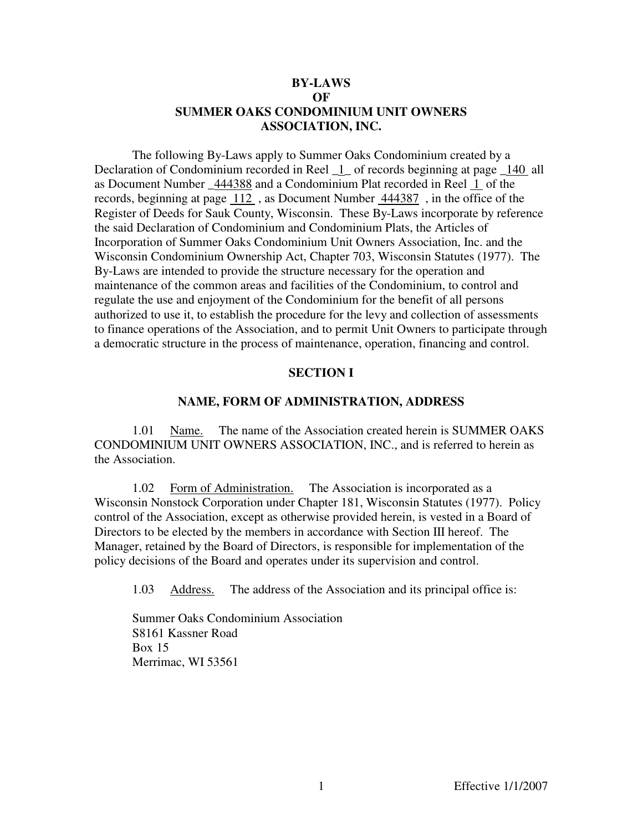## **BY-LAWS OF SUMMER OAKS CONDOMINIUM UNIT OWNERS ASSOCIATION, INC.**

 The following By-Laws apply to Summer Oaks Condominium created by a Declaration of Condominium recorded in Reel  $\,$  1  $\,$  of records beginning at page  $\,$  140 all as Document Number \_444388 and a Condominium Plat recorded in Reel 1 of the records, beginning at page 112 , as Document Number 444387 , in the office of the Register of Deeds for Sauk County, Wisconsin. These By-Laws incorporate by reference the said Declaration of Condominium and Condominium Plats, the Articles of Incorporation of Summer Oaks Condominium Unit Owners Association, Inc. and the Wisconsin Condominium Ownership Act, Chapter 703, Wisconsin Statutes (1977). The By-Laws are intended to provide the structure necessary for the operation and maintenance of the common areas and facilities of the Condominium, to control and regulate the use and enjoyment of the Condominium for the benefit of all persons authorized to use it, to establish the procedure for the levy and collection of assessments to finance operations of the Association, and to permit Unit Owners to participate through a democratic structure in the process of maintenance, operation, financing and control.

### **SECTION I**

### **NAME, FORM OF ADMINISTRATION, ADDRESS**

 1.01 Name. The name of the Association created herein is SUMMER OAKS CONDOMINIUM UNIT OWNERS ASSOCIATION, INC., and is referred to herein as the Association.

 1.02 Form of Administration. The Association is incorporated as a Wisconsin Nonstock Corporation under Chapter 181, Wisconsin Statutes (1977). Policy control of the Association, except as otherwise provided herein, is vested in a Board of Directors to be elected by the members in accordance with Section III hereof. The Manager, retained by the Board of Directors, is responsible for implementation of the policy decisions of the Board and operates under its supervision and control.

1.03 Address. The address of the Association and its principal office is:

 Summer Oaks Condominium Association S8161 Kassner Road Box 15 Merrimac, WI 53561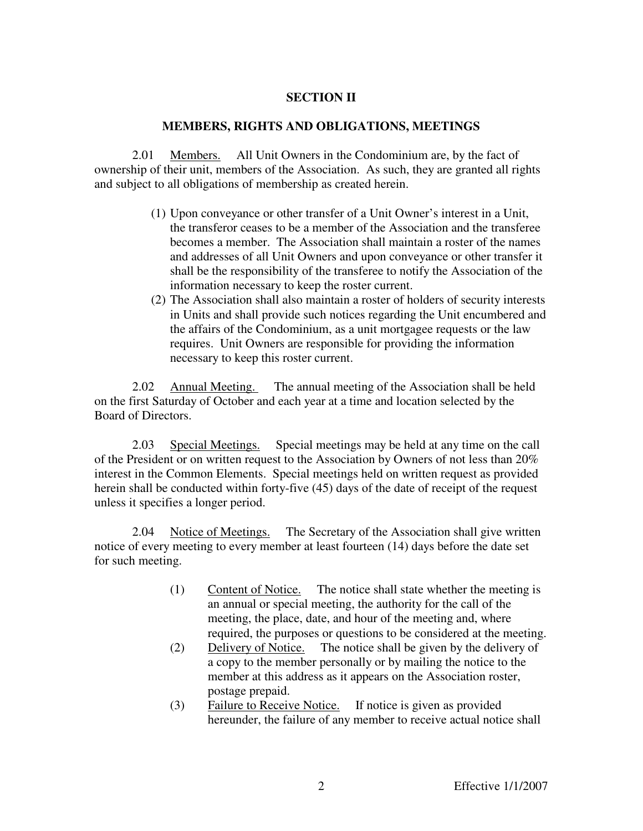## **SECTION II**

### **MEMBERS, RIGHTS AND OBLIGATIONS, MEETINGS**

 2.01 Members. All Unit Owners in the Condominium are, by the fact of ownership of their unit, members of the Association. As such, they are granted all rights and subject to all obligations of membership as created herein.

- (1) Upon conveyance or other transfer of a Unit Owner's interest in a Unit, the transferor ceases to be a member of the Association and the transferee becomes a member. The Association shall maintain a roster of the names and addresses of all Unit Owners and upon conveyance or other transfer it shall be the responsibility of the transferee to notify the Association of the information necessary to keep the roster current.
- (2) The Association shall also maintain a roster of holders of security interests in Units and shall provide such notices regarding the Unit encumbered and the affairs of the Condominium, as a unit mortgagee requests or the law requires. Unit Owners are responsible for providing the information necessary to keep this roster current.

2.02 Annual Meeting. The annual meeting of the Association shall be held on the first Saturday of October and each year at a time and location selected by the Board of Directors.

2.03 Special Meetings. Special meetings may be held at any time on the call of the President or on written request to the Association by Owners of not less than 20% interest in the Common Elements. Special meetings held on written request as provided herein shall be conducted within forty-five (45) days of the date of receipt of the request unless it specifies a longer period.

2.04 Notice of Meetings. The Secretary of the Association shall give written notice of every meeting to every member at least fourteen (14) days before the date set for such meeting.

- (1) Content of Notice. The notice shall state whether the meeting is an annual or special meeting, the authority for the call of the meeting, the place, date, and hour of the meeting and, where required, the purposes or questions to be considered at the meeting.
- (2) Delivery of Notice. The notice shall be given by the delivery of a copy to the member personally or by mailing the notice to the member at this address as it appears on the Association roster, postage prepaid.
- (3) Failure to Receive Notice. If notice is given as provided hereunder, the failure of any member to receive actual notice shall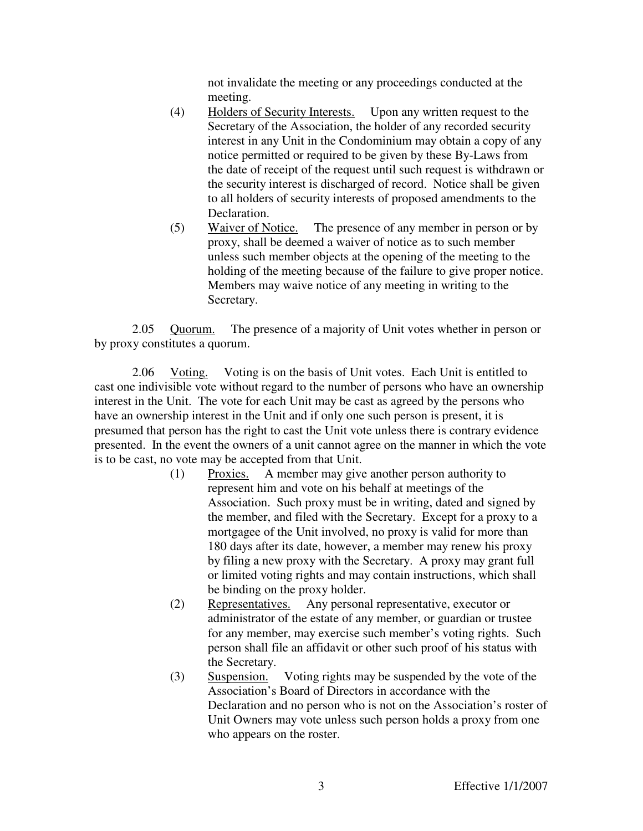not invalidate the meeting or any proceedings conducted at the meeting.

- (4) Holders of Security Interests. Upon any written request to the Secretary of the Association, the holder of any recorded security interest in any Unit in the Condominium may obtain a copy of any notice permitted or required to be given by these By-Laws from the date of receipt of the request until such request is withdrawn or the security interest is discharged of record. Notice shall be given to all holders of security interests of proposed amendments to the Declaration.
- (5) Waiver of Notice. The presence of any member in person or by proxy, shall be deemed a waiver of notice as to such member unless such member objects at the opening of the meeting to the holding of the meeting because of the failure to give proper notice. Members may waive notice of any meeting in writing to the Secretary.

2.05 Quorum. The presence of a majority of Unit votes whether in person or by proxy constitutes a quorum.

2.06 Voting. Voting is on the basis of Unit votes. Each Unit is entitled to cast one indivisible vote without regard to the number of persons who have an ownership interest in the Unit. The vote for each Unit may be cast as agreed by the persons who have an ownership interest in the Unit and if only one such person is present, it is presumed that person has the right to cast the Unit vote unless there is contrary evidence presented. In the event the owners of a unit cannot agree on the manner in which the vote is to be cast, no vote may be accepted from that Unit.

- (1) Proxies. A member may give another person authority to represent him and vote on his behalf at meetings of the Association. Such proxy must be in writing, dated and signed by the member, and filed with the Secretary. Except for a proxy to a mortgagee of the Unit involved, no proxy is valid for more than 180 days after its date, however, a member may renew his proxy by filing a new proxy with the Secretary. A proxy may grant full or limited voting rights and may contain instructions, which shall be binding on the proxy holder.
- (2) Representatives. Any personal representative, executor or administrator of the estate of any member, or guardian or trustee for any member, may exercise such member's voting rights. Such person shall file an affidavit or other such proof of his status with the Secretary.
- (3) Suspension. Voting rights may be suspended by the vote of the Association's Board of Directors in accordance with the Declaration and no person who is not on the Association's roster of Unit Owners may vote unless such person holds a proxy from one who appears on the roster.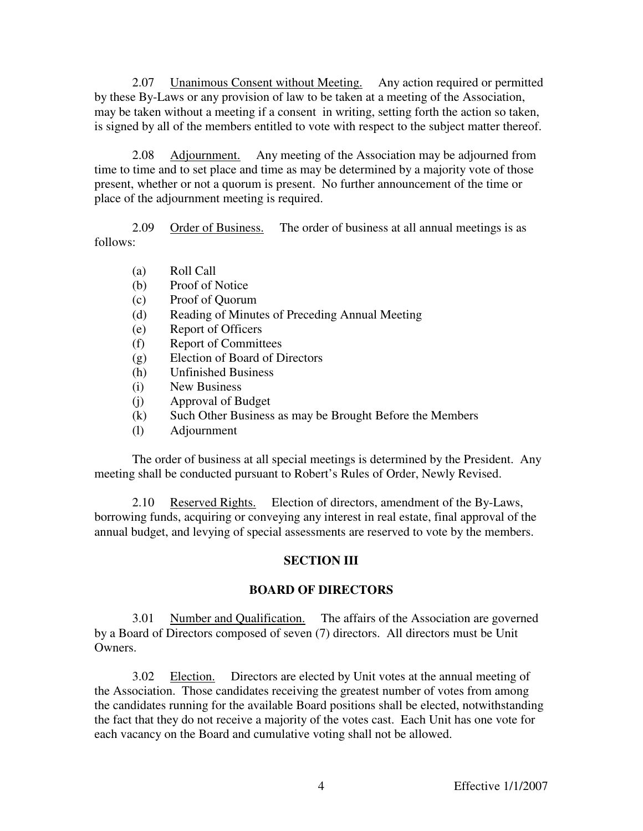2.07 Unanimous Consent without Meeting. Any action required or permitted by these By-Laws or any provision of law to be taken at a meeting of the Association, may be taken without a meeting if a consent in writing, setting forth the action so taken, is signed by all of the members entitled to vote with respect to the subject matter thereof.

2.08 Adjournment. Any meeting of the Association may be adjourned from time to time and to set place and time as may be determined by a majority vote of those present, whether or not a quorum is present. No further announcement of the time or place of the adjournment meeting is required.

2.09 Order of Business. The order of business at all annual meetings is as follows:

- (a) Roll Call
- (b) Proof of Notice
- (c) Proof of Quorum
- (d) Reading of Minutes of Preceding Annual Meeting
- (e) Report of Officers
- (f) Report of Committees
- (g) Election of Board of Directors
- (h) Unfinished Business
- (i) New Business
- (j) Approval of Budget
- (k) Such Other Business as may be Brought Before the Members
- (l) Adjournment

The order of business at all special meetings is determined by the President. Any meeting shall be conducted pursuant to Robert's Rules of Order, Newly Revised.

 2.10 Reserved Rights. Election of directors, amendment of the By-Laws, borrowing funds, acquiring or conveying any interest in real estate, final approval of the annual budget, and levying of special assessments are reserved to vote by the members.

# **SECTION III**

## **BOARD OF DIRECTORS**

 3.01 Number and Qualification. The affairs of the Association are governed by a Board of Directors composed of seven (7) directors. All directors must be Unit Owners.

 3.02 Election. Directors are elected by Unit votes at the annual meeting of the Association. Those candidates receiving the greatest number of votes from among the candidates running for the available Board positions shall be elected, notwithstanding the fact that they do not receive a majority of the votes cast. Each Unit has one vote for each vacancy on the Board and cumulative voting shall not be allowed.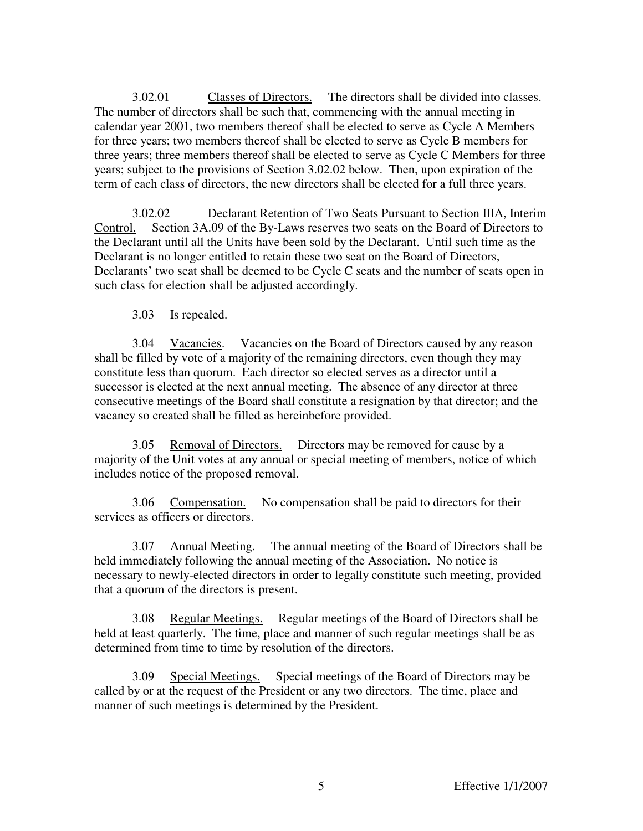3.02.01 Classes of Directors. The directors shall be divided into classes. The number of directors shall be such that, commencing with the annual meeting in calendar year 2001, two members thereof shall be elected to serve as Cycle A Members for three years; two members thereof shall be elected to serve as Cycle B members for three years; three members thereof shall be elected to serve as Cycle C Members for three years; subject to the provisions of Section 3.02.02 below. Then, upon expiration of the term of each class of directors, the new directors shall be elected for a full three years.

 3.02.02 Declarant Retention of Two Seats Pursuant to Section IIIA, Interim Control. Section 3A.09 of the By-Laws reserves two seats on the Board of Directors to the Declarant until all the Units have been sold by the Declarant. Until such time as the Declarant is no longer entitled to retain these two seat on the Board of Directors, Declarants' two seat shall be deemed to be Cycle C seats and the number of seats open in such class for election shall be adjusted accordingly.

3.03 Is repealed.

3.04 Vacancies. Vacancies on the Board of Directors caused by any reason shall be filled by vote of a majority of the remaining directors, even though they may constitute less than quorum. Each director so elected serves as a director until a successor is elected at the next annual meeting. The absence of any director at three consecutive meetings of the Board shall constitute a resignation by that director; and the vacancy so created shall be filled as hereinbefore provided.

3.05 Removal of Directors. Directors may be removed for cause by a majority of the Unit votes at any annual or special meeting of members, notice of which includes notice of the proposed removal.

3.06 Compensation. No compensation shall be paid to directors for their services as officers or directors.

3.07 Annual Meeting. The annual meeting of the Board of Directors shall be held immediately following the annual meeting of the Association. No notice is necessary to newly-elected directors in order to legally constitute such meeting, provided that a quorum of the directors is present.

3.08 Regular Meetings. Regular meetings of the Board of Directors shall be held at least quarterly. The time, place and manner of such regular meetings shall be as determined from time to time by resolution of the directors.

3.09 Special Meetings. Special meetings of the Board of Directors may be called by or at the request of the President or any two directors. The time, place and manner of such meetings is determined by the President.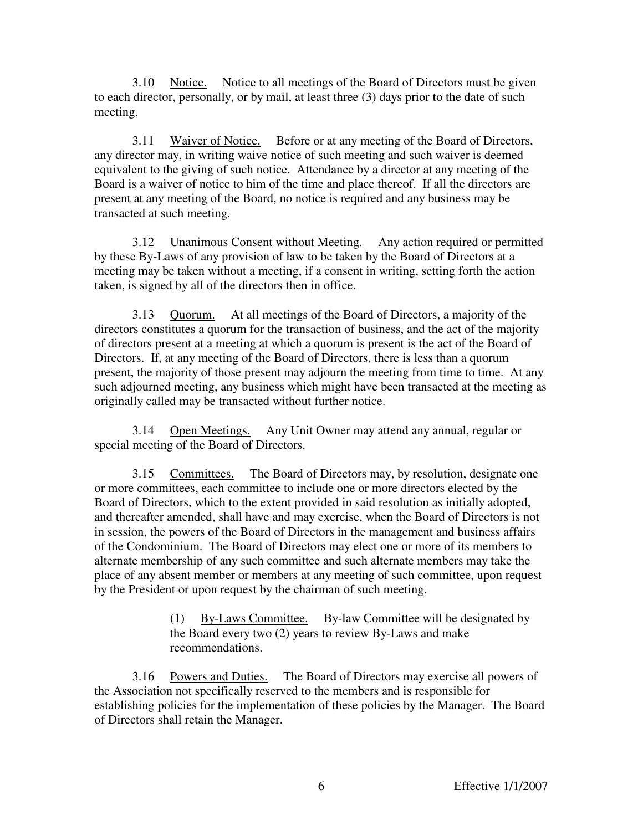3.10 Notice. Notice to all meetings of the Board of Directors must be given to each director, personally, or by mail, at least three (3) days prior to the date of such meeting.

3.11 Waiver of Notice. Before or at any meeting of the Board of Directors, any director may, in writing waive notice of such meeting and such waiver is deemed equivalent to the giving of such notice. Attendance by a director at any meeting of the Board is a waiver of notice to him of the time and place thereof. If all the directors are present at any meeting of the Board, no notice is required and any business may be transacted at such meeting.

3.12 Unanimous Consent without Meeting. Any action required or permitted by these By-Laws of any provision of law to be taken by the Board of Directors at a meeting may be taken without a meeting, if a consent in writing, setting forth the action taken, is signed by all of the directors then in office.

3.13 Quorum. At all meetings of the Board of Directors, a majority of the directors constitutes a quorum for the transaction of business, and the act of the majority of directors present at a meeting at which a quorum is present is the act of the Board of Directors. If, at any meeting of the Board of Directors, there is less than a quorum present, the majority of those present may adjourn the meeting from time to time. At any such adjourned meeting, any business which might have been transacted at the meeting as originally called may be transacted without further notice.

3.14 Open Meetings. Any Unit Owner may attend any annual, regular or special meeting of the Board of Directors.

3.15 Committees. The Board of Directors may, by resolution, designate one or more committees, each committee to include one or more directors elected by the Board of Directors, which to the extent provided in said resolution as initially adopted, and thereafter amended, shall have and may exercise, when the Board of Directors is not in session, the powers of the Board of Directors in the management and business affairs of the Condominium. The Board of Directors may elect one or more of its members to alternate membership of any such committee and such alternate members may take the place of any absent member or members at any meeting of such committee, upon request by the President or upon request by the chairman of such meeting.

> (1) By-Laws Committee. By-law Committee will be designated by the Board every two (2) years to review By-Laws and make recommendations.

3.16 Powers and Duties. The Board of Directors may exercise all powers of the Association not specifically reserved to the members and is responsible for establishing policies for the implementation of these policies by the Manager. The Board of Directors shall retain the Manager.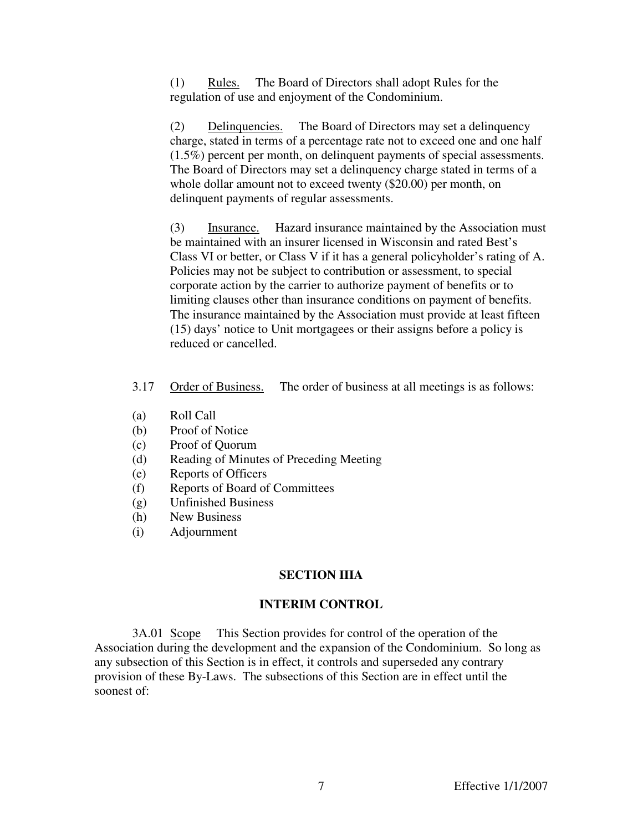(1) Rules. The Board of Directors shall adopt Rules for the regulation of use and enjoyment of the Condominium.

(2) Delinquencies. The Board of Directors may set a delinquency charge, stated in terms of a percentage rate not to exceed one and one half (1.5%) percent per month, on delinquent payments of special assessments. The Board of Directors may set a delinquency charge stated in terms of a whole dollar amount not to exceed twenty (\$20.00) per month, on delinquent payments of regular assessments.

(3) Insurance. Hazard insurance maintained by the Association must be maintained with an insurer licensed in Wisconsin and rated Best's Class VI or better, or Class V if it has a general policyholder's rating of A. Policies may not be subject to contribution or assessment, to special corporate action by the carrier to authorize payment of benefits or to limiting clauses other than insurance conditions on payment of benefits. The insurance maintained by the Association must provide at least fifteen (15) days' notice to Unit mortgagees or their assigns before a policy is reduced or cancelled.

- 3.17 Order of Business. The order of business at all meetings is as follows:
- (a) Roll Call
- (b) Proof of Notice
- (c) Proof of Quorum
- (d) Reading of Minutes of Preceding Meeting
- (e) Reports of Officers
- (f) Reports of Board of Committees
- (g) Unfinished Business
- (h) New Business
- (i) Adjournment

# **SECTION IIIA**

# **INTERIM CONTROL**

3A.01 Scope This Section provides for control of the operation of the Association during the development and the expansion of the Condominium. So long as any subsection of this Section is in effect, it controls and superseded any contrary provision of these By-Laws. The subsections of this Section are in effect until the soonest of: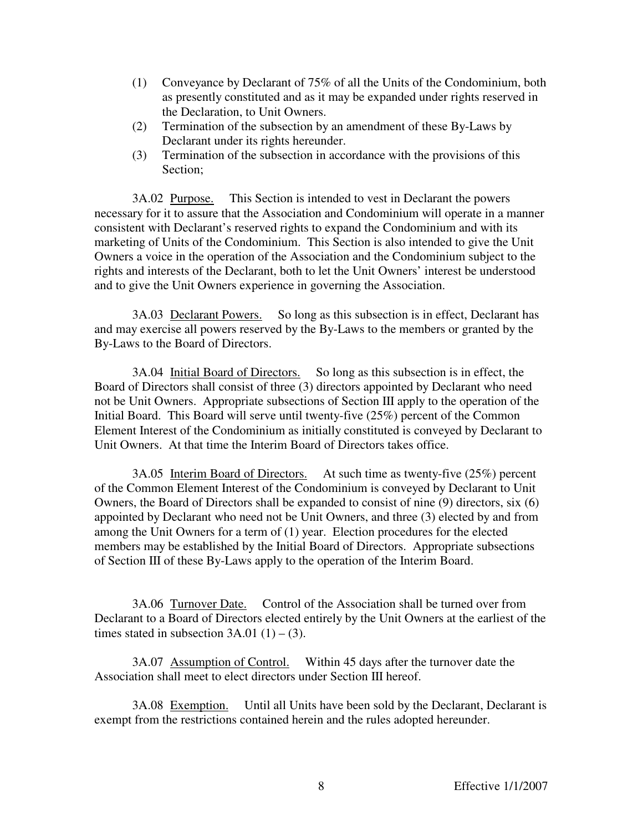- (1) Conveyance by Declarant of 75% of all the Units of the Condominium, both as presently constituted and as it may be expanded under rights reserved in the Declaration, to Unit Owners.
- (2) Termination of the subsection by an amendment of these By-Laws by Declarant under its rights hereunder.
- (3) Termination of the subsection in accordance with the provisions of this Section;

3A.02 Purpose. This Section is intended to vest in Declarant the powers necessary for it to assure that the Association and Condominium will operate in a manner consistent with Declarant's reserved rights to expand the Condominium and with its marketing of Units of the Condominium. This Section is also intended to give the Unit Owners a voice in the operation of the Association and the Condominium subject to the rights and interests of the Declarant, both to let the Unit Owners' interest be understood and to give the Unit Owners experience in governing the Association.

3A.03 Declarant Powers. So long as this subsection is in effect, Declarant has and may exercise all powers reserved by the By-Laws to the members or granted by the By-Laws to the Board of Directors.

3A.04 Initial Board of Directors. So long as this subsection is in effect, the Board of Directors shall consist of three (3) directors appointed by Declarant who need not be Unit Owners. Appropriate subsections of Section III apply to the operation of the Initial Board. This Board will serve until twenty-five (25%) percent of the Common Element Interest of the Condominium as initially constituted is conveyed by Declarant to Unit Owners. At that time the Interim Board of Directors takes office.

3A.05 Interim Board of Directors. At such time as twenty-five (25%) percent of the Common Element Interest of the Condominium is conveyed by Declarant to Unit Owners, the Board of Directors shall be expanded to consist of nine (9) directors, six (6) appointed by Declarant who need not be Unit Owners, and three (3) elected by and from among the Unit Owners for a term of (1) year. Election procedures for the elected members may be established by the Initial Board of Directors. Appropriate subsections of Section III of these By-Laws apply to the operation of the Interim Board.

3A.06 Turnover Date. Control of the Association shall be turned over from Declarant to a Board of Directors elected entirely by the Unit Owners at the earliest of the times stated in subsection  $3A.01(1) - (3)$ .

3A.07 Assumption of Control. Within 45 days after the turnover date the Association shall meet to elect directors under Section III hereof.

3A.08 Exemption. Until all Units have been sold by the Declarant, Declarant is exempt from the restrictions contained herein and the rules adopted hereunder.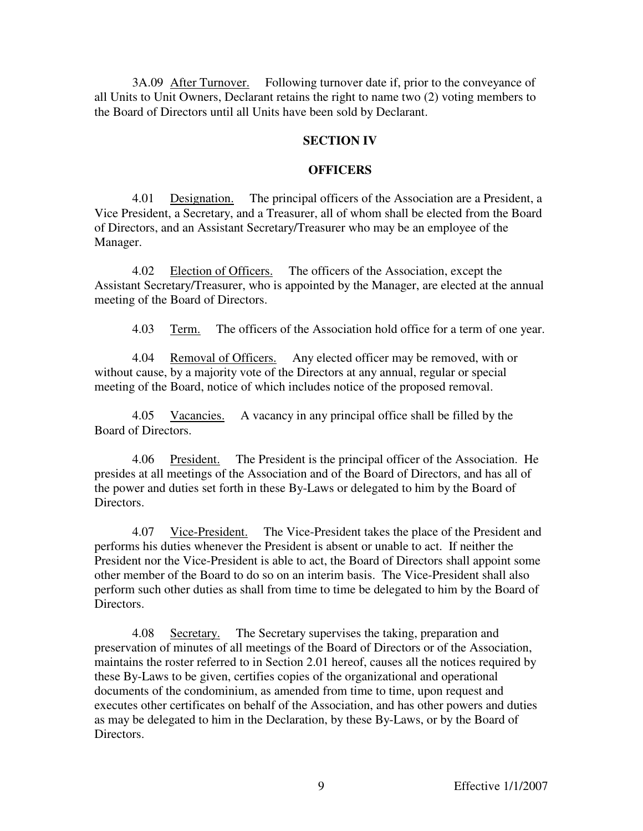3A.09 After Turnover. Following turnover date if, prior to the conveyance of all Units to Unit Owners, Declarant retains the right to name two (2) voting members to the Board of Directors until all Units have been sold by Declarant.

### **SECTION IV**

### **OFFICERS**

4.01 Designation. The principal officers of the Association are a President, a Vice President, a Secretary, and a Treasurer, all of whom shall be elected from the Board of Directors, and an Assistant Secretary/Treasurer who may be an employee of the Manager.

4.02 Election of Officers. The officers of the Association, except the Assistant Secretary/Treasurer, who is appointed by the Manager, are elected at the annual meeting of the Board of Directors.

4.03 Term. The officers of the Association hold office for a term of one year.

4.04 Removal of Officers. Any elected officer may be removed, with or without cause, by a majority vote of the Directors at any annual, regular or special meeting of the Board, notice of which includes notice of the proposed removal.

4.05 Vacancies. A vacancy in any principal office shall be filled by the Board of Directors.

4.06 President. The President is the principal officer of the Association. He presides at all meetings of the Association and of the Board of Directors, and has all of the power and duties set forth in these By-Laws or delegated to him by the Board of Directors.

4.07 Vice-President. The Vice-President takes the place of the President and performs his duties whenever the President is absent or unable to act. If neither the President nor the Vice-President is able to act, the Board of Directors shall appoint some other member of the Board to do so on an interim basis. The Vice-President shall also perform such other duties as shall from time to time be delegated to him by the Board of Directors.

4.08 Secretary. The Secretary supervises the taking, preparation and preservation of minutes of all meetings of the Board of Directors or of the Association, maintains the roster referred to in Section 2.01 hereof, causes all the notices required by these By-Laws to be given, certifies copies of the organizational and operational documents of the condominium, as amended from time to time, upon request and executes other certificates on behalf of the Association, and has other powers and duties as may be delegated to him in the Declaration, by these By-Laws, or by the Board of Directors.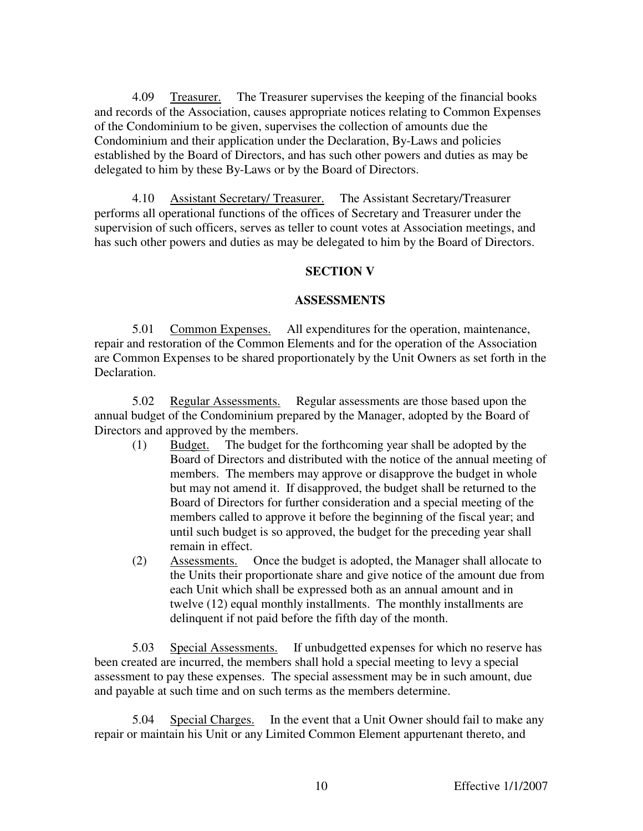4.09 Treasurer. The Treasurer supervises the keeping of the financial books and records of the Association, causes appropriate notices relating to Common Expenses of the Condominium to be given, supervises the collection of amounts due the Condominium and their application under the Declaration, By-Laws and policies established by the Board of Directors, and has such other powers and duties as may be delegated to him by these By-Laws or by the Board of Directors.

4.10 Assistant Secretary/ Treasurer. The Assistant Secretary/Treasurer performs all operational functions of the offices of Secretary and Treasurer under the supervision of such officers, serves as teller to count votes at Association meetings, and has such other powers and duties as may be delegated to him by the Board of Directors.

#### **SECTION V**

### **ASSESSMENTS**

5.01 Common Expenses. All expenditures for the operation, maintenance, repair and restoration of the Common Elements and for the operation of the Association are Common Expenses to be shared proportionately by the Unit Owners as set forth in the Declaration.

5.02 Regular Assessments. Regular assessments are those based upon the annual budget of the Condominium prepared by the Manager, adopted by the Board of Directors and approved by the members.

- (1) Budget. The budget for the forthcoming year shall be adopted by the Board of Directors and distributed with the notice of the annual meeting of members. The members may approve or disapprove the budget in whole but may not amend it. If disapproved, the budget shall be returned to the Board of Directors for further consideration and a special meeting of the members called to approve it before the beginning of the fiscal year; and until such budget is so approved, the budget for the preceding year shall remain in effect.
- (2) Assessments. Once the budget is adopted, the Manager shall allocate to the Units their proportionate share and give notice of the amount due from each Unit which shall be expressed both as an annual amount and in twelve (12) equal monthly installments. The monthly installments are delinquent if not paid before the fifth day of the month.

5.03 Special Assessments. If unbudgetted expenses for which no reserve has been created are incurred, the members shall hold a special meeting to levy a special assessment to pay these expenses. The special assessment may be in such amount, due and payable at such time and on such terms as the members determine.

5.04 Special Charges. In the event that a Unit Owner should fail to make any repair or maintain his Unit or any Limited Common Element appurtenant thereto, and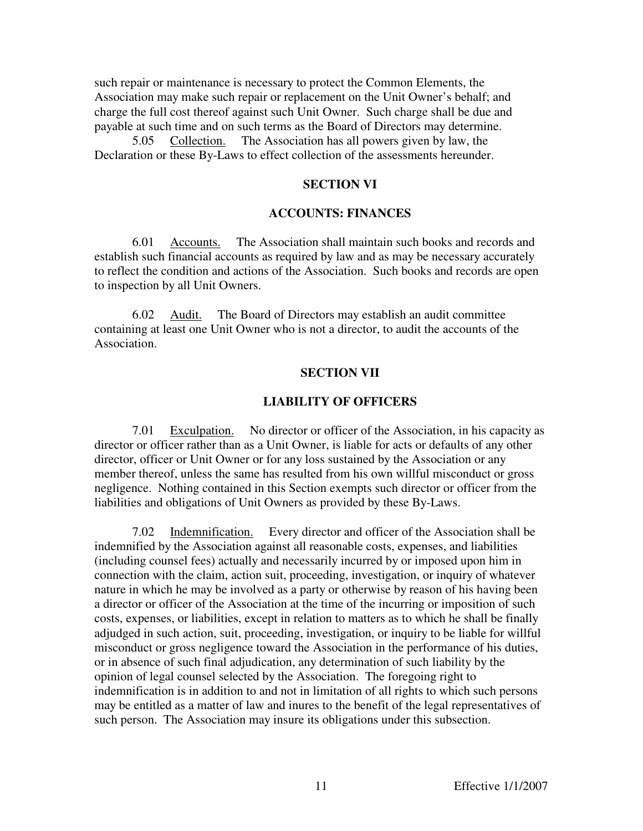such repair or maintenance is necessary to protect the Common Elements, the Association may make such repair or replacement on the Unit Owner's behalf; and charge the full cost thereof against such Unit Owner. Such charge shall be due and payable at such time and on such terms as the Board of Directors may determine.

5.05 Collection. The Association has all powers given by law, the Declaration or these By-Laws to effect collection of the assessments hereunder.

### **SECTION VI**

### **ACCOUNTS: FINANCES**

6.01 Accounts. The Association shall maintain such books and records and establish such financial accounts as required by law and as may be necessary accurately to reflect the condition and actions of the Association. Such books and records are open to inspection by all Unit Owners.

6.02 Audit. The Board of Directors may establish an audit committee containing at least one Unit Owner who is not a director, to audit the accounts of the Association.

#### **SECTION VII**

#### **LIABILITY OF OFFICERS**

7.01 Exculpation. No director or officer of the Association, in his capacity as director or officer rather than as a Unit Owner, is liable for acts or defaults of any other director, officer or Unit Owner or for any loss sustained by the Association or any member thereof, unless the same has resulted from his own willful misconduct or gross negligence. Nothing contained in this Section exempts such director or officer from the liabilities and obligations of Unit Owners as provided by these By-Laws.

7.02 Indemnification. Every director and officer of the Association shall be indemnified by the Association against all reasonable costs, expenses, and liabilities (including counsel fees) actually and necessarily incurred by or imposed upon him in connection with the claim, action suit, proceeding, investigation, or inquiry of whatever nature in which he may be involved as a party or otherwise by reason of his having been a director or officer of the Association at the time of the incurring or imposition of such costs, expenses, or liabilities, except in relation to matters as to which he shall be finally adjudged in such action, suit, proceeding, investigation, or inquiry to be liable for willful misconduct or gross negligence toward the Association in the performance of his duties, or in absence of such final adjudication, any determination of such liability by the opinion of legal counsel selected by the Association. The foregoing right to indemnification is in addition to and not in limitation of all rights to which such persons may be entitled as a matter of law and inures to the benefit of the legal representatives of such person. The Association may insure its obligations under this subsection.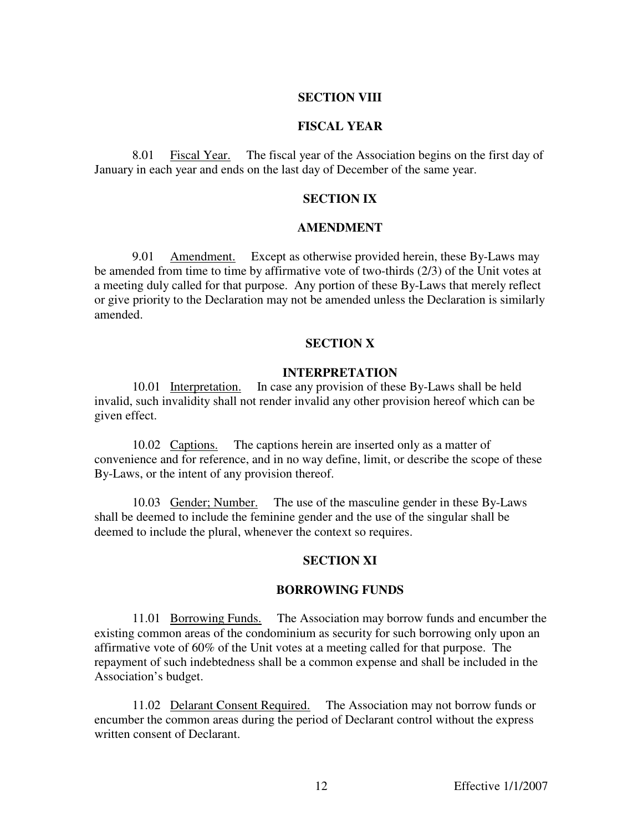### **SECTION VIII**

### **FISCAL YEAR**

8.01 Fiscal Year. The fiscal year of the Association begins on the first day of January in each year and ends on the last day of December of the same year.

## **SECTION IX**

#### **AMENDMENT**

9.01 Amendment. Except as otherwise provided herein, these By-Laws may be amended from time to time by affirmative vote of two-thirds (2/3) of the Unit votes at a meeting duly called for that purpose. Any portion of these By-Laws that merely reflect or give priority to the Declaration may not be amended unless the Declaration is similarly amended.

#### **SECTION X**

#### **INTERPRETATION**

10.01 Interpretation. In case any provision of these By-Laws shall be held invalid, such invalidity shall not render invalid any other provision hereof which can be given effect.

10.02 Captions. The captions herein are inserted only as a matter of convenience and for reference, and in no way define, limit, or describe the scope of these By-Laws, or the intent of any provision thereof.

10.03 Gender; Number. The use of the masculine gender in these By-Laws shall be deemed to include the feminine gender and the use of the singular shall be deemed to include the plural, whenever the context so requires.

### **SECTION XI**

### **BORROWING FUNDS**

11.01 Borrowing Funds. The Association may borrow funds and encumber the existing common areas of the condominium as security for such borrowing only upon an affirmative vote of 60% of the Unit votes at a meeting called for that purpose. The repayment of such indebtedness shall be a common expense and shall be included in the Association's budget.

11.02 Delarant Consent Required. The Association may not borrow funds or encumber the common areas during the period of Declarant control without the express written consent of Declarant.